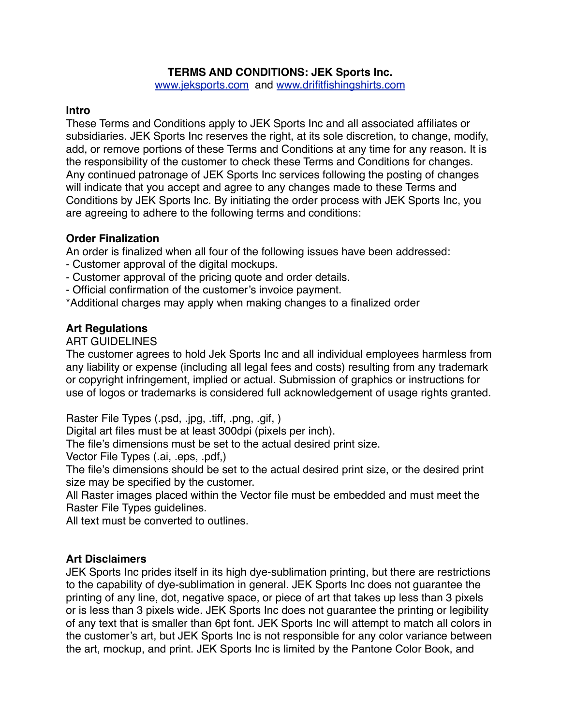## **TERMS AND CONDITIONS: JEK Sports Inc.**

[www.jeksports.com](http://www.jeksports.com) and [www.drifitfishingshirts.com](http://www.drifitfishingshirts.com)

### **Intro**

These Terms and Conditions apply to JEK Sports Inc and all associated affiliates or subsidiaries. JEK Sports Inc reserves the right, at its sole discretion, to change, modify, add, or remove portions of these Terms and Conditions at any time for any reason. It is the responsibility of the customer to check these Terms and Conditions for changes. Any continued patronage of JEK Sports Inc services following the posting of changes will indicate that you accept and agree to any changes made to these Terms and Conditions by JEK Sports Inc. By initiating the order process with JEK Sports Inc, you are agreeing to adhere to the following terms and conditions:

## **Order Finalization**

An order is finalized when all four of the following issues have been addressed:

- Customer approval of the digital mockups.
- Customer approval of the pricing quote and order details.
- Official confirmation of the customer's invoice payment.
- \*Additional charges may apply when making changes to a finalized order

## **Art Regulations**

#### ART GUIDELINES

The customer agrees to hold Jek Sports Inc and all individual employees harmless from any liability or expense (including all legal fees and costs) resulting from any trademark or copyright infringement, implied or actual. Submission of graphics or instructions for use of logos or trademarks is considered full acknowledgement of usage rights granted.

Raster File Types (.psd, .jpg, .tiff, .png, .gif, )

Digital art files must be at least 300dpi (pixels per inch).

The file's dimensions must be set to the actual desired print size.

Vector File Types (.ai, .eps, .pdf,)

The file's dimensions should be set to the actual desired print size, or the desired print size may be specified by the customer.

All Raster images placed within the Vector file must be embedded and must meet the Raster File Types guidelines.

All text must be converted to outlines.

## **Art Disclaimers**

JEK Sports Inc prides itself in its high dye-sublimation printing, but there are restrictions to the capability of dye-sublimation in general. JEK Sports Inc does not guarantee the printing of any line, dot, negative space, or piece of art that takes up less than 3 pixels or is less than 3 pixels wide. JEK Sports Inc does not guarantee the printing or legibility of any text that is smaller than 6pt font. JEK Sports Inc will attempt to match all colors in the customer's art, but JEK Sports Inc is not responsible for any color variance between the art, mockup, and print. JEK Sports Inc is limited by the Pantone Color Book, and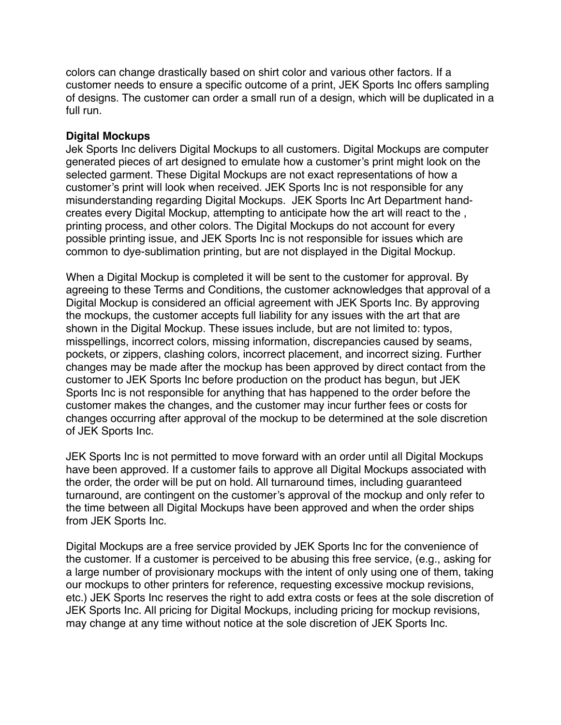colors can change drastically based on shirt color and various other factors. If a customer needs to ensure a specific outcome of a print, JEK Sports Inc offers sampling of designs. The customer can order a small run of a design, which will be duplicated in a full run.

#### **Digital Mockups**

Jek Sports Inc delivers Digital Mockups to all customers. Digital Mockups are computer generated pieces of art designed to emulate how a customer's print might look on the selected garment. These Digital Mockups are not exact representations of how a customer's print will look when received. JEK Sports Inc is not responsible for any misunderstanding regarding Digital Mockups. JEK Sports Inc Art Department handcreates every Digital Mockup, attempting to anticipate how the art will react to the , printing process, and other colors. The Digital Mockups do not account for every possible printing issue, and JEK Sports Inc is not responsible for issues which are common to dye-sublimation printing, but are not displayed in the Digital Mockup.

When a Digital Mockup is completed it will be sent to the customer for approval. By agreeing to these Terms and Conditions, the customer acknowledges that approval of a Digital Mockup is considered an official agreement with JEK Sports Inc. By approving the mockups, the customer accepts full liability for any issues with the art that are shown in the Digital Mockup. These issues include, but are not limited to: typos, misspellings, incorrect colors, missing information, discrepancies caused by seams, pockets, or zippers, clashing colors, incorrect placement, and incorrect sizing. Further changes may be made after the mockup has been approved by direct contact from the customer to JEK Sports Inc before production on the product has begun, but JEK Sports Inc is not responsible for anything that has happened to the order before the customer makes the changes, and the customer may incur further fees or costs for changes occurring after approval of the mockup to be determined at the sole discretion of JEK Sports Inc.

JEK Sports Inc is not permitted to move forward with an order until all Digital Mockups have been approved. If a customer fails to approve all Digital Mockups associated with the order, the order will be put on hold. All turnaround times, including guaranteed turnaround, are contingent on the customer's approval of the mockup and only refer to the time between all Digital Mockups have been approved and when the order ships from JEK Sports Inc.

Digital Mockups are a free service provided by JEK Sports Inc for the convenience of the customer. If a customer is perceived to be abusing this free service, (e.g., asking for a large number of provisionary mockups with the intent of only using one of them, taking our mockups to other printers for reference, requesting excessive mockup revisions, etc.) JEK Sports Inc reserves the right to add extra costs or fees at the sole discretion of JEK Sports Inc. All pricing for Digital Mockups, including pricing for mockup revisions, may change at any time without notice at the sole discretion of JEK Sports Inc.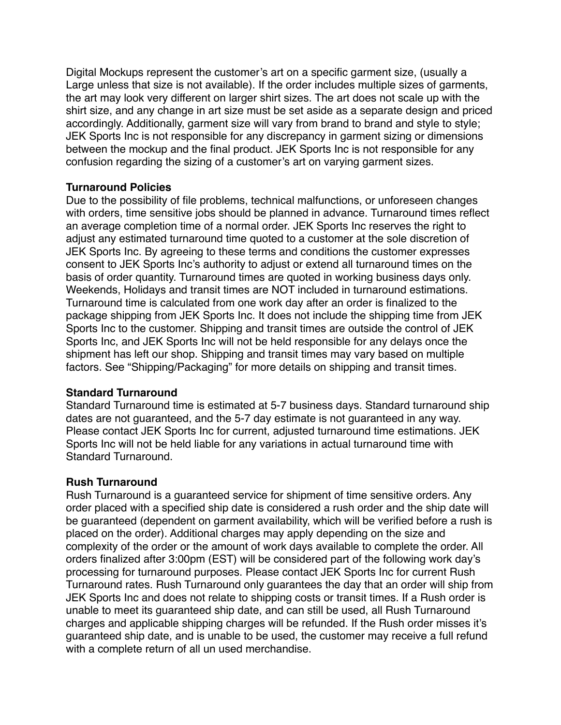Digital Mockups represent the customer's art on a specific garment size, (usually a Large unless that size is not available). If the order includes multiple sizes of garments, the art may look very different on larger shirt sizes. The art does not scale up with the shirt size, and any change in art size must be set aside as a separate design and priced accordingly. Additionally, garment size will vary from brand to brand and style to style; JEK Sports Inc is not responsible for any discrepancy in garment sizing or dimensions between the mockup and the final product. JEK Sports Inc is not responsible for any confusion regarding the sizing of a customer's art on varying garment sizes.

## **Turnaround Policies**

Due to the possibility of file problems, technical malfunctions, or unforeseen changes with orders, time sensitive jobs should be planned in advance. Turnaround times reflect an average completion time of a normal order. JEK Sports Inc reserves the right to adjust any estimated turnaround time quoted to a customer at the sole discretion of JEK Sports Inc. By agreeing to these terms and conditions the customer expresses consent to JEK Sports Inc's authority to adjust or extend all turnaround times on the basis of order quantity. Turnaround times are quoted in working business days only. Weekends, Holidays and transit times are NOT included in turnaround estimations. Turnaround time is calculated from one work day after an order is finalized to the package shipping from JEK Sports Inc. It does not include the shipping time from JEK Sports Inc to the customer. Shipping and transit times are outside the control of JEK Sports Inc, and JEK Sports Inc will not be held responsible for any delays once the shipment has left our shop. Shipping and transit times may vary based on multiple factors. See "Shipping/Packaging" for more details on shipping and transit times.

# **Standard Turnaround**

Standard Turnaround time is estimated at 5-7 business days. Standard turnaround ship dates are not guaranteed, and the 5-7 day estimate is not guaranteed in any way. Please contact JEK Sports Inc for current, adjusted turnaround time estimations. JEK Sports Inc will not be held liable for any variations in actual turnaround time with Standard Turnaround.

# **Rush Turnaround**

Rush Turnaround is a guaranteed service for shipment of time sensitive orders. Any order placed with a specified ship date is considered a rush order and the ship date will be guaranteed (dependent on garment availability, which will be verified before a rush is placed on the order). Additional charges may apply depending on the size and complexity of the order or the amount of work days available to complete the order. All orders finalized after 3:00pm (EST) will be considered part of the following work day's processing for turnaround purposes. Please contact JEK Sports Inc for current Rush Turnaround rates. Rush Turnaround only guarantees the day that an order will ship from JEK Sports Inc and does not relate to shipping costs or transit times. If a Rush order is unable to meet its guaranteed ship date, and can still be used, all Rush Turnaround charges and applicable shipping charges will be refunded. If the Rush order misses it's guaranteed ship date, and is unable to be used, the customer may receive a full refund with a complete return of all un used merchandise.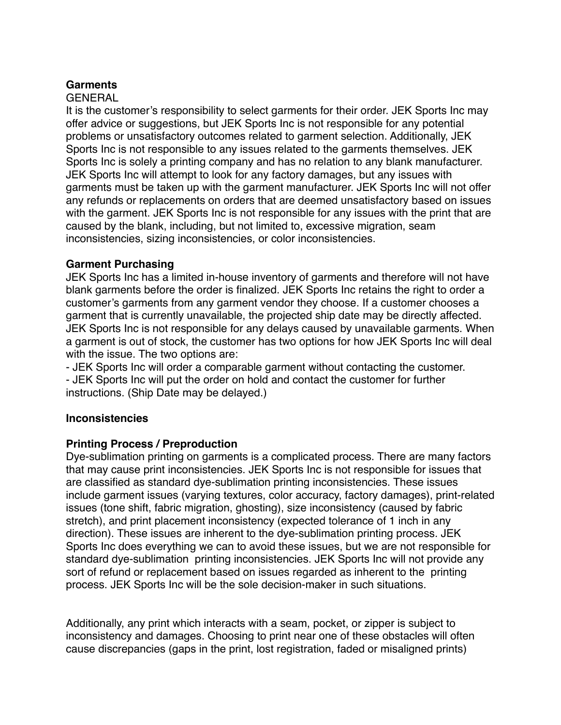## **Garments**

## GENERAL

It is the customer's responsibility to select garments for their order. JEK Sports Inc may offer advice or suggestions, but JEK Sports Inc is not responsible for any potential problems or unsatisfactory outcomes related to garment selection. Additionally, JEK Sports Inc is not responsible to any issues related to the garments themselves. JEK Sports Inc is solely a printing company and has no relation to any blank manufacturer. JEK Sports Inc will attempt to look for any factory damages, but any issues with garments must be taken up with the garment manufacturer. JEK Sports Inc will not offer any refunds or replacements on orders that are deemed unsatisfactory based on issues with the garment. JEK Sports Inc is not responsible for any issues with the print that are caused by the blank, including, but not limited to, excessive migration, seam inconsistencies, sizing inconsistencies, or color inconsistencies.

## **Garment Purchasing**

JEK Sports Inc has a limited in-house inventory of garments and therefore will not have blank garments before the order is finalized. JEK Sports Inc retains the right to order a customer's garments from any garment vendor they choose. If a customer chooses a garment that is currently unavailable, the projected ship date may be directly affected. JEK Sports Inc is not responsible for any delays caused by unavailable garments. When a garment is out of stock, the customer has two options for how JEK Sports Inc will deal with the issue. The two options are:

- JEK Sports Inc will order a comparable garment without contacting the customer. - JEK Sports Inc will put the order on hold and contact the customer for further instructions. (Ship Date may be delayed.)

## **Inconsistencies**

## **Printing Process / Preproduction**

Dye-sublimation printing on garments is a complicated process. There are many factors that may cause print inconsistencies. JEK Sports Inc is not responsible for issues that are classified as standard dye-sublimation printing inconsistencies. These issues include garment issues (varying textures, color accuracy, factory damages), print-related issues (tone shift, fabric migration, ghosting), size inconsistency (caused by fabric stretch), and print placement inconsistency (expected tolerance of 1 inch in any direction). These issues are inherent to the dye-sublimation printing process. JEK Sports Inc does everything we can to avoid these issues, but we are not responsible for standard dye-sublimation printing inconsistencies. JEK Sports Inc will not provide any sort of refund or replacement based on issues regarded as inherent to the printing process. JEK Sports Inc will be the sole decision-maker in such situations.

Additionally, any print which interacts with a seam, pocket, or zipper is subject to inconsistency and damages. Choosing to print near one of these obstacles will often cause discrepancies (gaps in the print, lost registration, faded or misaligned prints)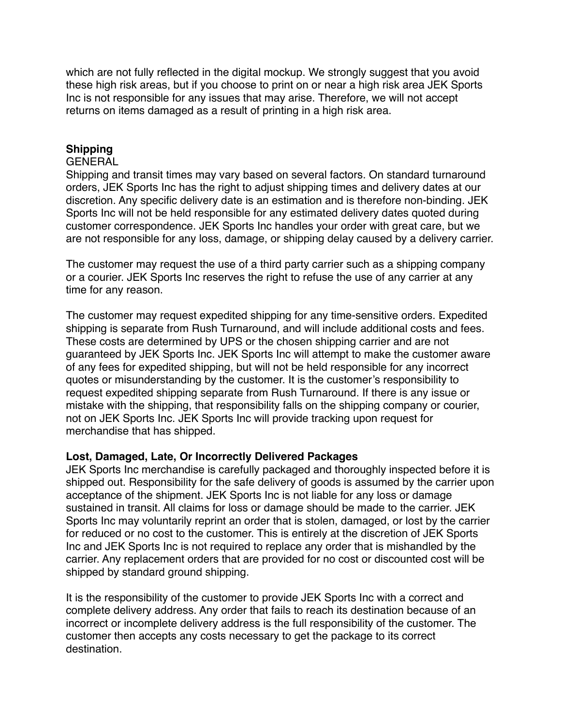which are not fully reflected in the digital mockup. We strongly suggest that you avoid these high risk areas, but if you choose to print on or near a high risk area JEK Sports Inc is not responsible for any issues that may arise. Therefore, we will not accept returns on items damaged as a result of printing in a high risk area.

## **Shipping**

#### GENERAL

Shipping and transit times may vary based on several factors. On standard turnaround orders, JEK Sports Inc has the right to adjust shipping times and delivery dates at our discretion. Any specific delivery date is an estimation and is therefore non-binding. JEK Sports Inc will not be held responsible for any estimated delivery dates quoted during customer correspondence. JEK Sports Inc handles your order with great care, but we are not responsible for any loss, damage, or shipping delay caused by a delivery carrier.

The customer may request the use of a third party carrier such as a shipping company or a courier. JEK Sports Inc reserves the right to refuse the use of any carrier at any time for any reason.

The customer may request expedited shipping for any time-sensitive orders. Expedited shipping is separate from Rush Turnaround, and will include additional costs and fees. These costs are determined by UPS or the chosen shipping carrier and are not guaranteed by JEK Sports Inc. JEK Sports Inc will attempt to make the customer aware of any fees for expedited shipping, but will not be held responsible for any incorrect quotes or misunderstanding by the customer. It is the customer's responsibility to request expedited shipping separate from Rush Turnaround. If there is any issue or mistake with the shipping, that responsibility falls on the shipping company or courier, not on JEK Sports Inc. JEK Sports Inc will provide tracking upon request for merchandise that has shipped.

## **Lost, Damaged, Late, Or Incorrectly Delivered Packages**

JEK Sports Inc merchandise is carefully packaged and thoroughly inspected before it is shipped out. Responsibility for the safe delivery of goods is assumed by the carrier upon acceptance of the shipment. JEK Sports Inc is not liable for any loss or damage sustained in transit. All claims for loss or damage should be made to the carrier. JEK Sports Inc may voluntarily reprint an order that is stolen, damaged, or lost by the carrier for reduced or no cost to the customer. This is entirely at the discretion of JEK Sports Inc and JEK Sports Inc is not required to replace any order that is mishandled by the carrier. Any replacement orders that are provided for no cost or discounted cost will be shipped by standard ground shipping.

It is the responsibility of the customer to provide JEK Sports Inc with a correct and complete delivery address. Any order that fails to reach its destination because of an incorrect or incomplete delivery address is the full responsibility of the customer. The customer then accepts any costs necessary to get the package to its correct destination.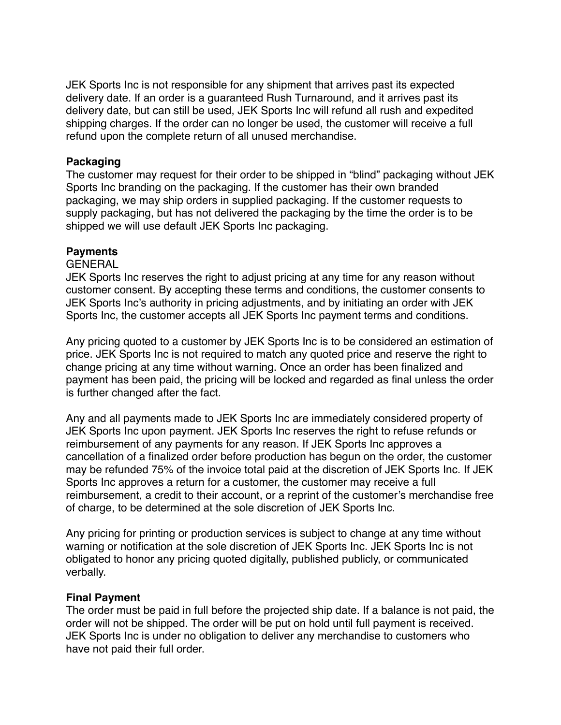JEK Sports Inc is not responsible for any shipment that arrives past its expected delivery date. If an order is a guaranteed Rush Turnaround, and it arrives past its delivery date, but can still be used, JEK Sports Inc will refund all rush and expedited shipping charges. If the order can no longer be used, the customer will receive a full refund upon the complete return of all unused merchandise.

#### **Packaging**

The customer may request for their order to be shipped in "blind" packaging without JEK Sports Inc branding on the packaging. If the customer has their own branded packaging, we may ship orders in supplied packaging. If the customer requests to supply packaging, but has not delivered the packaging by the time the order is to be shipped we will use default JEK Sports Inc packaging.

#### **Payments**

#### GENERAL

JEK Sports Inc reserves the right to adjust pricing at any time for any reason without customer consent. By accepting these terms and conditions, the customer consents to JEK Sports Inc's authority in pricing adjustments, and by initiating an order with JEK Sports Inc, the customer accepts all JEK Sports Inc payment terms and conditions.

Any pricing quoted to a customer by JEK Sports Inc is to be considered an estimation of price. JEK Sports Inc is not required to match any quoted price and reserve the right to change pricing at any time without warning. Once an order has been finalized and payment has been paid, the pricing will be locked and regarded as final unless the order is further changed after the fact.

Any and all payments made to JEK Sports Inc are immediately considered property of JEK Sports Inc upon payment. JEK Sports Inc reserves the right to refuse refunds or reimbursement of any payments for any reason. If JEK Sports Inc approves a cancellation of a finalized order before production has begun on the order, the customer may be refunded 75% of the invoice total paid at the discretion of JEK Sports Inc. If JEK Sports Inc approves a return for a customer, the customer may receive a full reimbursement, a credit to their account, or a reprint of the customer's merchandise free of charge, to be determined at the sole discretion of JEK Sports Inc.

Any pricing for printing or production services is subject to change at any time without warning or notification at the sole discretion of JEK Sports Inc. JEK Sports Inc is not obligated to honor any pricing quoted digitally, published publicly, or communicated verbally.

#### **Final Payment**

The order must be paid in full before the projected ship date. If a balance is not paid, the order will not be shipped. The order will be put on hold until full payment is received. JEK Sports Inc is under no obligation to deliver any merchandise to customers who have not paid their full order.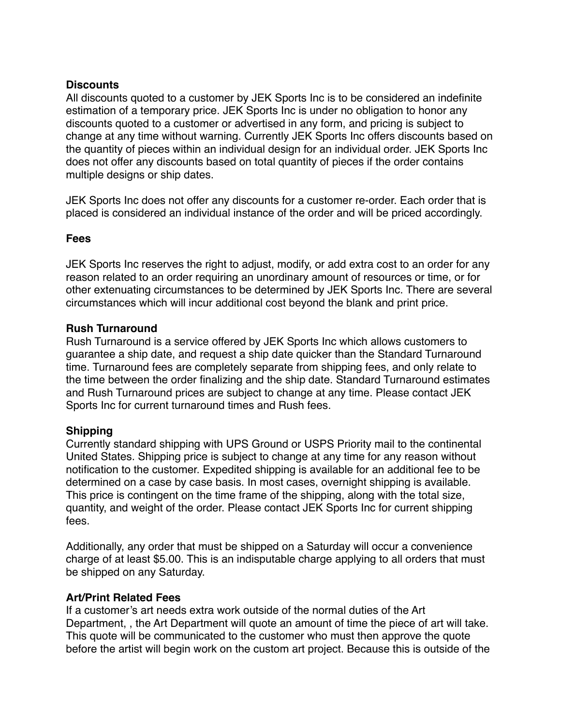## **Discounts**

All discounts quoted to a customer by JEK Sports Inc is to be considered an indefinite estimation of a temporary price. JEK Sports Inc is under no obligation to honor any discounts quoted to a customer or advertised in any form, and pricing is subject to change at any time without warning. Currently JEK Sports Inc offers discounts based on the quantity of pieces within an individual design for an individual order. JEK Sports Inc does not offer any discounts based on total quantity of pieces if the order contains multiple designs or ship dates.

JEK Sports Inc does not offer any discounts for a customer re-order. Each order that is placed is considered an individual instance of the order and will be priced accordingly.

## **Fees**

JEK Sports Inc reserves the right to adjust, modify, or add extra cost to an order for any reason related to an order requiring an unordinary amount of resources or time, or for other extenuating circumstances to be determined by JEK Sports Inc. There are several circumstances which will incur additional cost beyond the blank and print price.

#### **Rush Turnaround**

Rush Turnaround is a service offered by JEK Sports Inc which allows customers to guarantee a ship date, and request a ship date quicker than the Standard Turnaround time. Turnaround fees are completely separate from shipping fees, and only relate to the time between the order finalizing and the ship date. Standard Turnaround estimates and Rush Turnaround prices are subject to change at any time. Please contact JEK Sports Inc for current turnaround times and Rush fees.

## **Shipping**

Currently standard shipping with UPS Ground or USPS Priority mail to the continental United States. Shipping price is subject to change at any time for any reason without notification to the customer. Expedited shipping is available for an additional fee to be determined on a case by case basis. In most cases, overnight shipping is available. This price is contingent on the time frame of the shipping, along with the total size, quantity, and weight of the order. Please contact JEK Sports Inc for current shipping fees.

Additionally, any order that must be shipped on a Saturday will occur a convenience charge of at least \$5.00. This is an indisputable charge applying to all orders that must be shipped on any Saturday.

## **Art/Print Related Fees**

If a customer's art needs extra work outside of the normal duties of the Art Department, , the Art Department will quote an amount of time the piece of art will take. This quote will be communicated to the customer who must then approve the quote before the artist will begin work on the custom art project. Because this is outside of the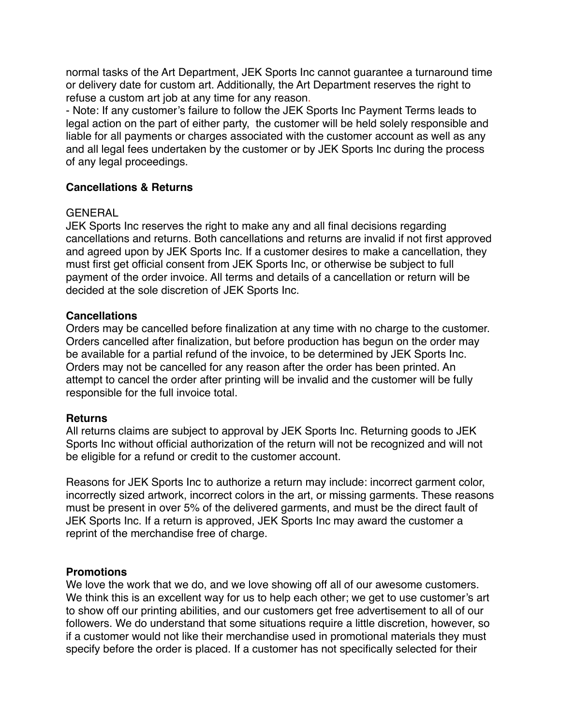normal tasks of the Art Department, JEK Sports Inc cannot guarantee a turnaround time or delivery date for custom art. Additionally, the Art Department reserves the right to refuse a custom art job at any time for any reason.

- Note: If any customer's failure to follow the JEK Sports Inc Payment Terms leads to legal action on the part of either party, the customer will be held solely responsible and liable for all payments or charges associated with the customer account as well as any and all legal fees undertaken by the customer or by JEK Sports Inc during the process of any legal proceedings.

## **Cancellations & Returns**

## GENERAL

JEK Sports Inc reserves the right to make any and all final decisions regarding cancellations and returns. Both cancellations and returns are invalid if not first approved and agreed upon by JEK Sports Inc. If a customer desires to make a cancellation, they must first get official consent from JEK Sports Inc, or otherwise be subject to full payment of the order invoice. All terms and details of a cancellation or return will be decided at the sole discretion of JEK Sports Inc.

## **Cancellations**

Orders may be cancelled before finalization at any time with no charge to the customer. Orders cancelled after finalization, but before production has begun on the order may be available for a partial refund of the invoice, to be determined by JEK Sports Inc. Orders may not be cancelled for any reason after the order has been printed. An attempt to cancel the order after printing will be invalid and the customer will be fully responsible for the full invoice total.

## **Returns**

All returns claims are subject to approval by JEK Sports Inc. Returning goods to JEK Sports Inc without official authorization of the return will not be recognized and will not be eligible for a refund or credit to the customer account.

Reasons for JEK Sports Inc to authorize a return may include: incorrect garment color, incorrectly sized artwork, incorrect colors in the art, or missing garments. These reasons must be present in over 5% of the delivered garments, and must be the direct fault of JEK Sports Inc. If a return is approved, JEK Sports Inc may award the customer a reprint of the merchandise free of charge.

## **Promotions**

We love the work that we do, and we love showing off all of our awesome customers. We think this is an excellent way for us to help each other; we get to use customer's art to show off our printing abilities, and our customers get free advertisement to all of our followers. We do understand that some situations require a little discretion, however, so if a customer would not like their merchandise used in promotional materials they must specify before the order is placed. If a customer has not specifically selected for their